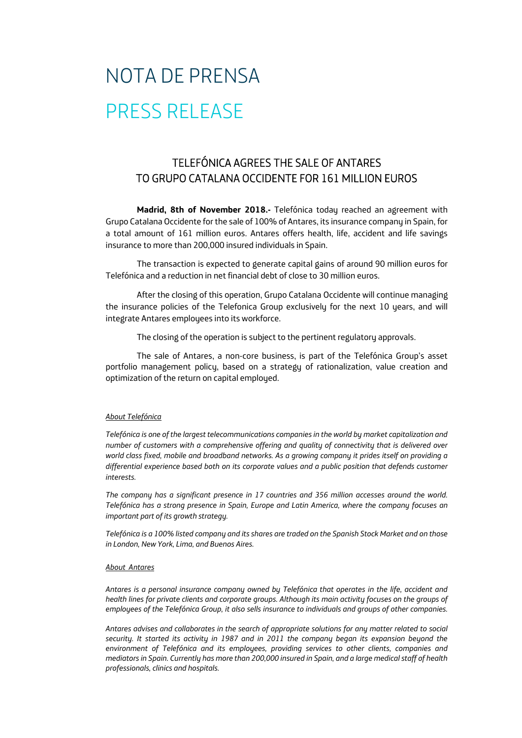## NOTA DE PRENSA PRESS RELEASE

## TELEFÓNICA AGREES THE SALE OF ANTARES TO GRUPO CATALANA OCCIDENTE FOR 161 MILLION EUROS

**Madrid, 8th of November 2018.-** Telefónica today reached an agreement with Grupo Catalana Occidente for the sale of 100% of Antares, its insurance company in Spain, for a total amount of 161 million euros. Antares offers health, life, accident and life savings insurance to more than 200,000 insured individuals in Spain.

The transaction is expected to generate capital gains of around 90 million euros for Telefónica and a reduction in net financial debt of close to 30 million euros.

After the closing of this operation, Grupo Catalana Occidente will continue managing the insurance policies of the Telefonica Group exclusively for the next 10 years, and will integrate Antares employees into its workforce.

The closing of the operation is subject to the pertinent regulatory approvals.

The sale of Antares, a non-core business, is part of the Telefónica Group's asset portfolio management policy, based on a strategy of rationalization, value creation and optimization of the return on capital employed.

## *About Telefónica*

*Telefónica is one of the largest telecommunications companies in the world by market capitalization and number of customers with a comprehensive offering and quality of connectivity that is delivered over world class fixed, mobile and broadband networks. As a growing company it prides itself on providing a differential experience based both on its corporate values and a public position that defends customer interests.* 

*The company has a significant presence in 17 countries and 356 million accesses around the world. Telefónica has a strong presence in Spain, Europe and Latin America, where the company focuses an important part of its growth strategy.* 

*Telefónica is a 100% listed company and its shares are traded on the Spanish Stock Market and on those in London, New York, Lima, and Buenos Aires.*

## *About Antares*

*Antares is a personal insurance company owned by Telefónica that operates in the life, accident and health lines for private clients and corporate groups. Although its main activity focuses on the groups of employees of the Telefónica Group, it also sells insurance to individuals and groups of other companies.* 

*Antares advises and collaborates in the search of appropriate solutions for any matter related to social security. It started its activity in 1987 and in 2011 the company began its expansion beyond the environment of Telefónica and its employees, providing services to other clients, companies and mediators in Spain. Currently has more than 200,000 insured in Spain, and a large medical staff of health professionals, clinics and hospitals.*